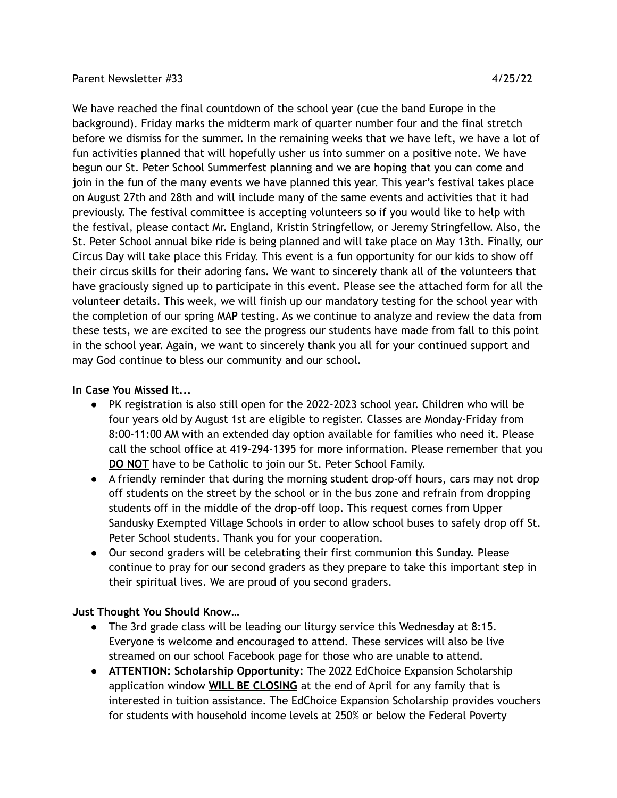## Parent Newsletter #33 4/25/22

We have reached the final countdown of the school year (cue the band Europe in the background). Friday marks the midterm mark of quarter number four and the final stretch before we dismiss for the summer. In the remaining weeks that we have left, we have a lot of fun activities planned that will hopefully usher us into summer on a positive note. We have begun our St. Peter School Summerfest planning and we are hoping that you can come and join in the fun of the many events we have planned this year. This year's festival takes place on August 27th and 28th and will include many of the same events and activities that it had previously. The festival committee is accepting volunteers so if you would like to help with the festival, please contact Mr. England, Kristin Stringfellow, or Jeremy Stringfellow. Also, the St. Peter School annual bike ride is being planned and will take place on May 13th. Finally, our Circus Day will take place this Friday. This event is a fun opportunity for our kids to show off their circus skills for their adoring fans. We want to sincerely thank all of the volunteers that have graciously signed up to participate in this event. Please see the attached form for all the volunteer details. This week, we will finish up our mandatory testing for the school year with the completion of our spring MAP testing. As we continue to analyze and review the data from these tests, we are excited to see the progress our students have made from fall to this point in the school year. Again, we want to sincerely thank you all for your continued support and may God continue to bless our community and our school.

## **In Case You Missed It...**

- PK registration is also still open for the 2022-2023 school year. Children who will be four years old by August 1st are eligible to register. Classes are Monday-Friday from 8:00-11:00 AM with an extended day option available for families who need it. Please call the school office at 419-294-1395 for more information. Please remember that you **DO NOT** have to be Catholic to join our St. Peter School Family.
- A friendly reminder that during the morning student drop-off hours, cars may not drop off students on the street by the school or in the bus zone and refrain from dropping students off in the middle of the drop-off loop. This request comes from Upper Sandusky Exempted Village Schools in order to allow school buses to safely drop off St. Peter School students. Thank you for your cooperation.
- Our second graders will be celebrating their first communion this Sunday. Please continue to pray for our second graders as they prepare to take this important step in their spiritual lives. We are proud of you second graders.

## **Just Thought You Should Know…**

- The 3rd grade class will be leading our liturgy service this Wednesday at 8:15. Everyone is welcome and encouraged to attend. These services will also be live streamed on our school Facebook page for those who are unable to attend.
- **ATTENTION: Scholarship Opportunity:** The 2022 EdChoice Expansion Scholarship application window **WILL BE CLOSING** at the end of April for any family that is interested in tuition assistance. The EdChoice Expansion Scholarship provides vouchers for students with household income levels at 250% or below the Federal Poverty